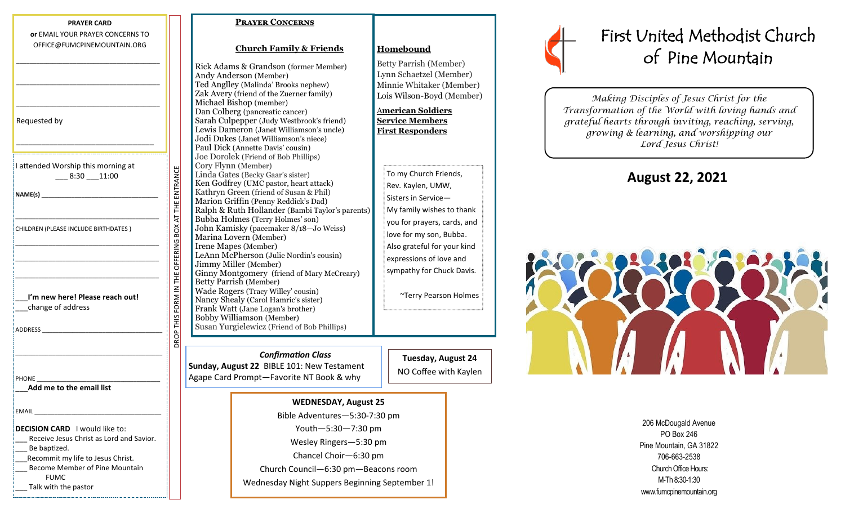| OFFICE@FUMCPINEMOUNTAIN.ORG                                                                |                                                    |
|--------------------------------------------------------------------------------------------|----------------------------------------------------|
|                                                                                            |                                                    |
| Requested by                                                                               |                                                    |
|                                                                                            |                                                    |
| I attended Worship this morning at<br>$-8:30 - 11:00$                                      |                                                    |
|                                                                                            |                                                    |
| CHILDREN (PLEASE INCLUDE BIRTHDATES)                                                       |                                                    |
|                                                                                            |                                                    |
| I'm new here! Please reach out!<br>change of address                                       | DROP THIS FORM IN THE OFFERING BOX AT THE ENTRANCE |
|                                                                                            |                                                    |
|                                                                                            |                                                    |
| Add me to the email list                                                                   |                                                    |
| <b>EMAIL</b>                                                                               |                                                    |
| DECISION CARD I would like to:<br>Receive Jesus Christ as Lord and Savior.<br>Be baptized. |                                                    |
| Recommit my life to Jesus Christ.<br>Become Member of Pine Mountain<br><b>FUMC</b>         |                                                    |
| Talk with the pastor                                                                       |                                                    |

**PRAYER CARD or** EMAIL YOUR PRAYER CONCERNS TO

## **Prayer Concerns**

## **Church Family & Friends**

Rick Adams & Grandson (former Member) Andy Anderson (Member) Ted Anglley (Malinda' Brooks nephew) Zak Avery (friend of the Zuerner family) Michael Bishop (member) Dan Colberg (pancreatic cancer) Sarah Culpepper (Judy Westbrook's friend) Lewis Dameron (Janet Williamson's uncle) Jodi Dukes (Janet Williamson's niece) Paul Dick (Annette Davis' cousin) Joe Dorolek (Friend of Bob Phillips) Cory Flynn (Member) Linda Gates (Becky Gaar's sister) Ken Godfrey (UMC pastor, heart attack) Kathryn Green (friend of Susan & Phil) Marion Griffin (Penny Reddick's Dad) Ralph & Ruth Hollander (Bambi Taylor's parents) Bubba Holmes (Terry Holmes' son) John Kamisky (pacemaker 8/18—Jo Weiss) Marina Lovern (Member) Irene Mapes (Member) LeAnn McPherson (Julie Nordin's cousin) Jimmy Miller (Member) Ginny Montgomery (friend of Mary McCreary) Betty Parrish (Member) Wade Rogers (Tracy Willey' cousin) Nancy Shealy (Carol Hamric's sister) Frank Watt (Jane Logan's brother) Bobby Williamson (Member) Susan Yurgielewicz (Friend of Bob Phillips)

 *Confirmation Class*  **Sunday, August 22** BIBLE 101: New Testament Agape Card Prompt—Favorite NT Book & why

**Tuesday, August 24** NO Coffee with Kaylen

~Terry Pearson Holmes

**Homebound**

Betty Parrish (Member) Lynn Schaetzel (Member) Minnie Whitaker (Member) Lois Wilson-Boyd (Member)

A**merican Soldiers Service Members First Responders**

> To my Church Friends, Rev. Kaylen, UMW, Sisters in Service—

My family wishes to thank you for prayers, cards, and love for my son, Bubba. Also grateful for your kind expressions of love and sympathy for Chuck Davis.

**WEDNESDAY, August 25** Bible Adventures—5:30-7:30 pm Youth—5:30—7:30 pm Wesley Ringers—5:30 pm Chancel Choir—6:30 pm Church Council—6:30 pm—Beacons room Wednesday Night Suppers Beginning September 1!



## First United Methodist Church of Pine Mountain

*Making Disciples of Jesus Christ for the Transformation of the World with loving hands and grateful hearts through inviting, reaching, serving, growing & learning, and worshipping our Lord Jesus Christ!* 

**August 22, 2021**



206 McDougald Avenue PO Box 246 Pine Mountain, GA 31822 706-663-2538 Church Office Hours: M-Th 8:30-1:30 www.fumcpinemountain.org